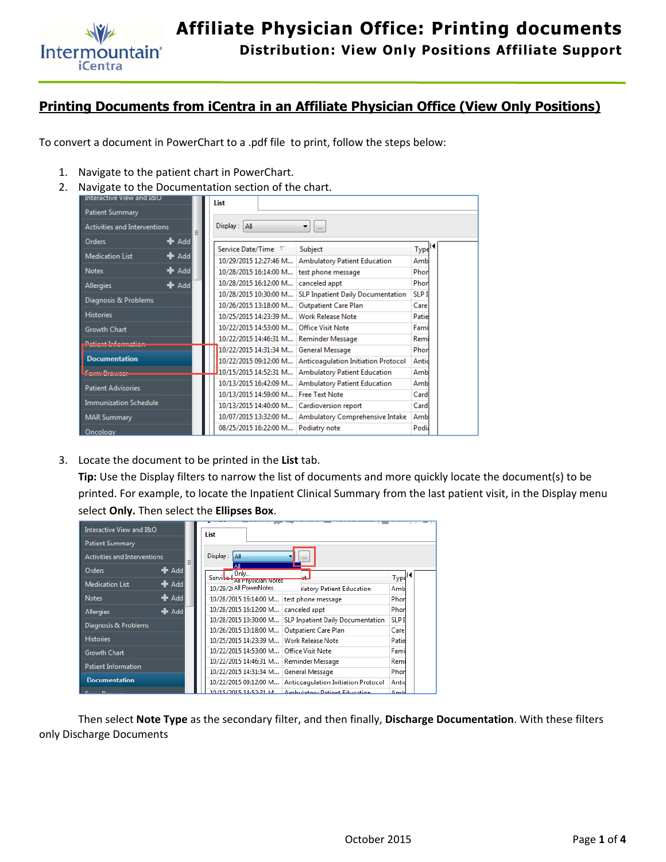

## **Printing Documents from iCentra in an Affiliate Physician Office (View Only Positions)**

To convert a document in PowerChart to a .pdf file to print, follow the steps below:

- 1. Navigate to the patient chart in PowerChart.
- 2. Navigate to the Documentation section of the chart.

| Interactive View and I&O     |                      | List                           |                                            |                    |  |  |  |  |
|------------------------------|----------------------|--------------------------------|--------------------------------------------|--------------------|--|--|--|--|
| Patient Summary              |                      |                                |                                            |                    |  |  |  |  |
| Activities and Interventions | 티                    | Display: All<br>▾┆<br>$\cdots$ |                                            |                    |  |  |  |  |
| Orders                       | $+$ Add              |                                |                                            |                    |  |  |  |  |
| <b>Medication List</b>       | $#$ Add              | Service Date/Time $\nabla$     | Subject                                    | Type <sup>14</sup> |  |  |  |  |
|                              |                      | 10/29/2015 12:27:46 M          | <b>Ambulatory Patient Education</b>        | Amb                |  |  |  |  |
| <b>Notes</b>                 | $+$ Add              | 10/28/2015 16:14:00 M          | test phone message                         | Phor               |  |  |  |  |
| <b>Allergies</b>             | $\blacktriangle$ Add | 10/28/2015 16:12:00 M          | canceled appt                              | Phor               |  |  |  |  |
|                              |                      | 10/28/2015 10:30:00 M          | SLP Inpatient Daily Documentation          | <b>SLP I</b>       |  |  |  |  |
| Diagnosis & Problems         |                      | 10/26/2015 13:18:00 M          | <b>Outpatient Care Plan</b>                | Care               |  |  |  |  |
| <b>Histories</b>             |                      | 10/25/2015 14:23:39 M          | <b>Work Release Note</b>                   | Patie              |  |  |  |  |
| <b>Growth Chart</b>          |                      | 10/22/2015 14:53:00 M          | <b>Office Visit Note</b>                   | Fami               |  |  |  |  |
|                              |                      | 10/22/2015 14:46:31 M          | Reminder Message                           | Remi               |  |  |  |  |
|                              |                      | 10/22/2015 14:31:34 M          | General Message                            | Phon               |  |  |  |  |
| <b>Documentation</b>         |                      | 10/22/2015 09:12:00 M          | <b>Anticoagulation Initiation Protocol</b> | Antid              |  |  |  |  |
|                              |                      | 10/15/2015 14:52:31 M          | <b>Ambulatory Patient Education</b>        | Amb                |  |  |  |  |
| <b>Patient Advisories</b>    |                      | 10/13/2015 16:42:09 M          | <b>Ambulatory Patient Education</b>        | Amb                |  |  |  |  |
|                              |                      | 10/13/2015 14:59:00 M          | <b>Free Text Note</b>                      | Card               |  |  |  |  |
| <b>Immunization Schedule</b> |                      | 10/13/2015 14:40:00 M          | Cardioversion report                       | Card               |  |  |  |  |
| <b>MAR Summary</b>           |                      | 10/07/2015 13:32:00 M          | Ambulatory Comprehensive Intake            | Amb                |  |  |  |  |
| <b>Oncology</b>              |                      | 08/25/2015 16:22:00 M          | Podiatry note                              | Podia              |  |  |  |  |

3. Locate the document to be printed in the **List** tab.

**Tip:** Use the Display filters to narrow the list of documents and more quickly locate the document(s) to be printed. For example, to locate the Inpatient Clinical Summary from the last patient visit, in the Display menu select **Only.** Then select the **Ellipses Box**.

| Interactive View and I&O            |                           | List     |                                    |                                            |                   |
|-------------------------------------|---------------------------|----------|------------------------------------|--------------------------------------------|-------------------|
| Patient Summary                     |                           |          |                                    |                                            |                   |
| <b>Activities and Interventions</b> | Ξ                         | Display: | l All                              |                                            |                   |
| <b>Orders</b>                       | $\bigstar$ Add            | Servite  | ΔIΙ<br>Only<br>All Envsiolan Notes |                                            | Type <sup>4</sup> |
| <b>Medication List</b>              | $+$ Add                   |          | 10/29/2 All PowerNotes             | <b>Ilatory Patient Education</b>           | Amb               |
| <b>Notes</b>                        | $\bigstar$ Add            |          | 10/28/2015 16:14:00 M              | test phone message                         | Phor              |
| <b>Allergies</b>                    | $\blacktriangleright$ Add |          | 10/28/2015 16:12:00 M              | canceled appt                              | Phor              |
| Diagnosis & Problems                |                           |          | 10/28/2015 10:30:00 M              | <b>SLP Inpatient Daily Documentation</b>   | <b>SLP I</b>      |
|                                     |                           |          | 10/26/2015 13:18:00 M              | Outpatient Care Plan                       | Care              |
| <b>Histories</b>                    |                           |          | 10/25/2015 14:23:39 M              | <b>Work Release Note</b>                   | Patie             |
| <b>Growth Chart</b>                 |                           |          | 10/22/2015 14:53:00 M              | <b>Office Visit Note</b>                   | Fami              |
| <b>Patient Information</b>          |                           |          | 10/22/2015 14:46:31 M              | <b>Reminder Message</b>                    | Remi              |
|                                     |                           |          | 10/22/2015 14:31:34 M              | <b>General Message</b>                     | Phor              |
| <b>Documentation</b>                |                           |          | 10/22/2015 09:12:00 M              | <b>Anticoagulation Initiation Protocol</b> | Antic             |
| <b>Entire Denturne</b>              |                           |          | 10/15/2015 14:52:31 M              | <b>Ambulatory Patient Education</b>        | $\Delta$ mh       |

 Then select **Note Type** as the secondary filter, and then finally, **Discharge Documentation**. With these filters only Discharge Documents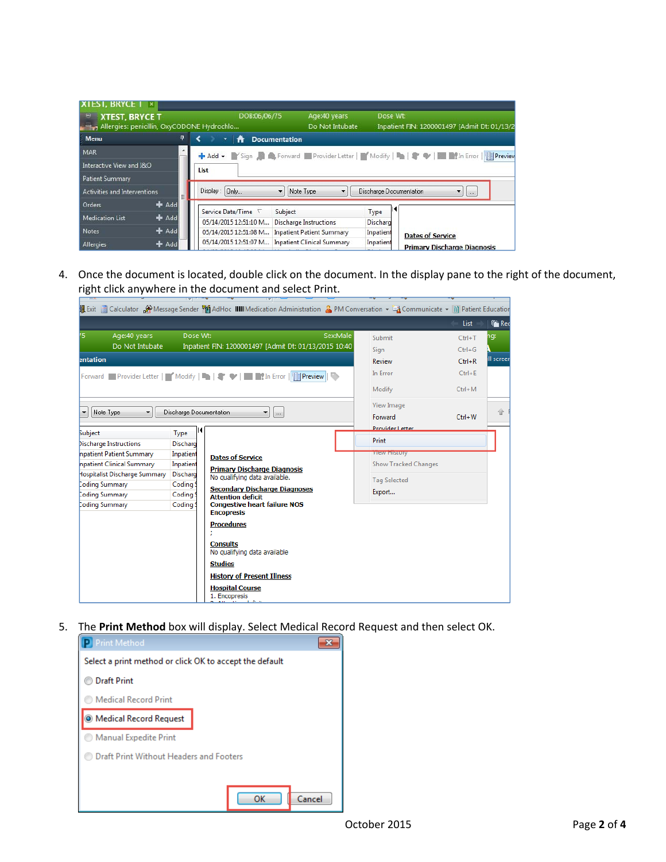| <b>XIESI, BRYCE I</b><br>$\vert x \vert$                                 |   |                       |                      |                                   |                         |                                              |
|--------------------------------------------------------------------------|---|-----------------------|----------------------|-----------------------------------|-------------------------|----------------------------------------------|
| Θ<br><b>XTEST, BRYCE T</b><br>Allergies: penicillin, OxyCODONE Hydrochlo |   |                       | DOB:06/06/75         | Age:40 years<br>Do Not Intubate   | Dose Wt:                | Inpatient FIN: 1200001497 [Admit Dt: 01/13/2 |
| <b>Menu</b>                                                              | 4 | ٠<br>₩                | <b>Documentation</b> |                                   |                         |                                              |
| <b>MAR</b>                                                               | ▲ |                       |                      |                                   |                         |                                              |
| Interactive View and I&O                                                 |   | List                  |                      |                                   |                         |                                              |
| Patient Summary                                                          |   |                       |                      |                                   |                         |                                              |
| <b>Activities and Interventions</b>                                      | 티 | Display: Only         | ۰                    | Note Type                         | Discharge Documentation | $\overline{\phantom{a}}$<br>$\sim$           |
| $A$ dd<br>Orders                                                         |   | Service Date/Time     | Subject              |                                   | к<br>Type               |                                              |
| <b>+</b> Add<br><b>Medication List</b>                                   |   | 05/14/2015 12:51:10 M |                      | <b>Discharge Instructions</b>     | Discharg                |                                              |
| Add<br><b>Notes</b>                                                      |   | 05/14/2015 12:51:08 M |                      | <b>Inpatient Patient Summary</b>  | <b>Inpatient</b>        | <b>Dates of Service</b>                      |
| Add<br>Allergies                                                         |   | 05/14/2015 12:51:07 M |                      | <b>Inpatient Clinical Summary</b> | Inpatient               | <b>Primary Discharge Diagnosis</b>           |

4. Once the document is located, double click on the document. In the display pane to the right of the document, right click anywhere in the document and select Print.

|                                       |                         | M Exit     Calculator   A Message Sender <sup>8</sup>   AdHoc IIIIII Medication Administration A PM Conversation > □ Communicate >     Patient Education                                                        |          |                                          |                        |                             |
|---------------------------------------|-------------------------|-----------------------------------------------------------------------------------------------------------------------------------------------------------------------------------------------------------------|----------|------------------------------------------|------------------------|-----------------------------|
|                                       |                         |                                                                                                                                                                                                                 |          |                                          | List                   | <b><i><u>Friend</u></i></b> |
| 75<br>Age:40 years<br>Do Not Intubate | Dose Wt:                | Inpatient FIN: 1200001497 [Admit Dt: 01/13/2015 10:40                                                                                                                                                           | Sex:Male | Submit<br>Sign                           | $Ctrl+T$<br>$Ctrl + G$ | ١g:                         |
| entation                              |                         |                                                                                                                                                                                                                 |          | Review                                   | $Ctrl + R$             | II screer                   |
|                                       |                         |                                                                                                                                                                                                                 |          | In Error                                 | $Ctrl + E$             |                             |
|                                       |                         |                                                                                                                                                                                                                 |          | Modify                                   | $Ctrl+M$               |                             |
| Note Type<br>▼                        | Discharge Documentation | ▼<br>$\cdots$                                                                                                                                                                                                   |          | View Image<br>Forward<br>Provider Letter | $Ctrl + W$             | 企                           |
| Subject                               | <b>Type</b>             |                                                                                                                                                                                                                 |          | Print                                    |                        |                             |
| Discharge Instructions                | Discharg                |                                                                                                                                                                                                                 |          |                                          |                        |                             |
| npatient Patient Summary              | Inpatient               | <b>Dates of Service</b>                                                                                                                                                                                         |          | <b>VIEW FILSTOLY</b>                     |                        |                             |
| npatient Clinical Summary             | Inpatient               | <b>Primary Discharge Diagnosis</b>                                                                                                                                                                              |          | <b>Show Tracked Changes</b>              |                        |                             |
| Hospitalist Discharge Summary         | Discharg                | No qualifying data available.                                                                                                                                                                                   |          | <b>Tag Selected</b>                      |                        |                             |
| Coding Summary                        | Coding!                 | <b>Secondary Discharge Diagnoses</b>                                                                                                                                                                            |          | Export                                   |                        |                             |
| Coding Summary<br>Coding Summary      | Coding!<br>Coding:      | <b>Attention deficit</b><br><b>Congestive heart failure NOS</b>                                                                                                                                                 |          |                                          |                        |                             |
|                                       |                         | <b>Encopresis</b><br><b>Procedures</b><br><b>Consults</b><br>No qualifying data available<br><b>Studies</b><br><b>History of Present Illness</b><br><b>Hospital Course</b><br>1. Encopresis<br>Attorion deficit |          |                                          |                        |                             |

5. The **Print Method** box will display. Select Medical Record Request and then select OK.

| <b>D</b> Print Method                                   |  |
|---------------------------------------------------------|--|
| Select a print method or click OK to accept the default |  |
| <b>Draft Print</b>                                      |  |
| <b>Medical Record Print</b>                             |  |
| O Medical Record Request                                |  |
| Manual Expedite Print                                   |  |
| Draft Print Without Headers and Footers                 |  |
|                                                         |  |
| Cancel<br>ок                                            |  |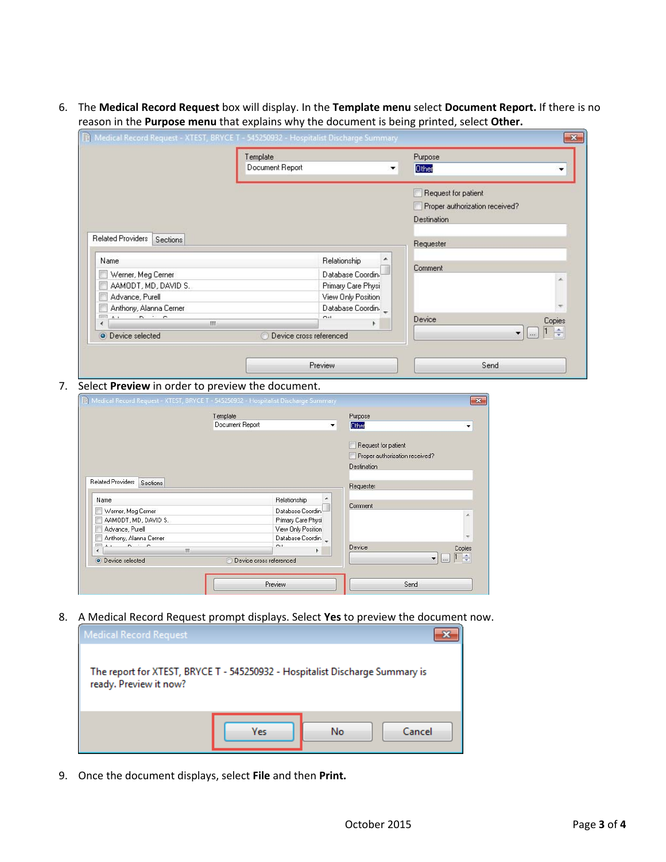6. The **Medical Record Request** box will display. In the **Template menu** select **Document Report.** If there is no reason in the **Purpose menu** that explains why the document is being printed, select **Other.** 

|                                                                                                                                                                                                                                                                                                                                                                                                                                                                                                                                                                                                                     | Template<br>Document Report                                                                                                                |                                | Purpose<br>Other                      |        |
|---------------------------------------------------------------------------------------------------------------------------------------------------------------------------------------------------------------------------------------------------------------------------------------------------------------------------------------------------------------------------------------------------------------------------------------------------------------------------------------------------------------------------------------------------------------------------------------------------------------------|--------------------------------------------------------------------------------------------------------------------------------------------|--------------------------------|---------------------------------------|--------|
|                                                                                                                                                                                                                                                                                                                                                                                                                                                                                                                                                                                                                     |                                                                                                                                            |                                |                                       |        |
|                                                                                                                                                                                                                                                                                                                                                                                                                                                                                                                                                                                                                     |                                                                                                                                            |                                | Request for patient                   |        |
|                                                                                                                                                                                                                                                                                                                                                                                                                                                                                                                                                                                                                     |                                                                                                                                            |                                | Proper authorization received?        |        |
|                                                                                                                                                                                                                                                                                                                                                                                                                                                                                                                                                                                                                     |                                                                                                                                            |                                | Destination                           |        |
| <b>Related Providers</b><br>Sections                                                                                                                                                                                                                                                                                                                                                                                                                                                                                                                                                                                |                                                                                                                                            |                                | Requester                             |        |
| Name                                                                                                                                                                                                                                                                                                                                                                                                                                                                                                                                                                                                                |                                                                                                                                            | Relationship                   |                                       |        |
| Werner, Meg Cerner                                                                                                                                                                                                                                                                                                                                                                                                                                                                                                                                                                                                  |                                                                                                                                            | Database Coordin.              | Comment                               |        |
| AAMODT, MD, DAVID S.                                                                                                                                                                                                                                                                                                                                                                                                                                                                                                                                                                                                |                                                                                                                                            | Primary Care Physi             |                                       |        |
| Advance, Purell                                                                                                                                                                                                                                                                                                                                                                                                                                                                                                                                                                                                     |                                                                                                                                            | View Only Position             |                                       |        |
| Anthony, Alanna Cerner                                                                                                                                                                                                                                                                                                                                                                                                                                                                                                                                                                                              |                                                                                                                                            | Database Coordin.              |                                       |        |
| $\mathbb{R}^n$ $\mathbb{R}^n$ $\mathbb{R}^n$ $\mathbb{R}^n$ $\mathbb{R}^n$ $\mathbb{R}^n$<br>∢                                                                                                                                                                                                                                                                                                                                                                                                                                                                                                                      | m.                                                                                                                                         | $\sim$<br>r                    | <b>Device</b>                         | Copies |
| O Device selected                                                                                                                                                                                                                                                                                                                                                                                                                                                                                                                                                                                                   |                                                                                                                                            | Device cross referenced        |                                       |        |
|                                                                                                                                                                                                                                                                                                                                                                                                                                                                                                                                                                                                                     |                                                                                                                                            | Preview                        | Send                                  |        |
|                                                                                                                                                                                                                                                                                                                                                                                                                                                                                                                                                                                                                     | Select Preview in order to preview the document.<br>11 Medical Record Request - XTEST, BRYCE T - 545250932 - Hospitalist Discharge Summary |                                | $\mathbf{x}$                          |        |
|                                                                                                                                                                                                                                                                                                                                                                                                                                                                                                                                                                                                                     | Template                                                                                                                                   | Purpose                        |                                       |        |
|                                                                                                                                                                                                                                                                                                                                                                                                                                                                                                                                                                                                                     | Document Report                                                                                                                            | Other<br>$\blacktriangledown$  | ۰                                     |        |
|                                                                                                                                                                                                                                                                                                                                                                                                                                                                                                                                                                                                                     |                                                                                                                                            | Request for patient            |                                       |        |
|                                                                                                                                                                                                                                                                                                                                                                                                                                                                                                                                                                                                                     |                                                                                                                                            | Proper authorization received? |                                       |        |
|                                                                                                                                                                                                                                                                                                                                                                                                                                                                                                                                                                                                                     |                                                                                                                                            | <b>Destination</b>             |                                       |        |
| Related Providers Sections                                                                                                                                                                                                                                                                                                                                                                                                                                                                                                                                                                                          |                                                                                                                                            | Requester                      |                                       |        |
| Name                                                                                                                                                                                                                                                                                                                                                                                                                                                                                                                                                                                                                | Relationship                                                                                                                               |                                |                                       |        |
| Werner, Meg Cerner                                                                                                                                                                                                                                                                                                                                                                                                                                                                                                                                                                                                  |                                                                                                                                            | Comment<br>Database Coordin.   |                                       |        |
| AAMODT, MD, DAVID S.                                                                                                                                                                                                                                                                                                                                                                                                                                                                                                                                                                                                |                                                                                                                                            | Primary Care Physi             |                                       |        |
| Advance, Purell                                                                                                                                                                                                                                                                                                                                                                                                                                                                                                                                                                                                     |                                                                                                                                            | View Only Position             |                                       |        |
| Anthony, Alanna Cerner<br>$\overline{\lim}\, \overline{\lim}\, \overline{\lim}\, \overline{\lim}\, \overline{\lim}\, \overline{\lim}\, \overline{\lim}\, \overline{\lim}\, \overline{\lim}\, \overline{\lim}\, \overline{\lim}\, \overline{\lim}\, \overline{\lim}\, \overline{\lim}\, \overline{\lim}\, \overline{\lim}\, \overline{\lim}\, \overline{\lim}\, \overline{\lim}\, \overline{\lim}\, \overline{\lim}\, \overline{\lim}\, \overline{\lim}\, \overline{\lim}\, \overline{\lim}\, \overline{\lim}\, \overline{\lim}\, \overline{\lim}\, \overline{\lim}\, \overline{\lim}\, \overline{\lim}\, \overline$ | $\sim$ $\cdot$                                                                                                                             | Database Coordin.<br>Device    |                                       |        |
| III<br>$\leftarrow$<br>O Device selected                                                                                                                                                                                                                                                                                                                                                                                                                                                                                                                                                                            | Device cross referenced                                                                                                                    | Þ.                             | Copies<br> 1 <br>$\frac{1}{\sqrt{2}}$ |        |
|                                                                                                                                                                                                                                                                                                                                                                                                                                                                                                                                                                                                                     |                                                                                                                                            |                                |                                       |        |

8. A Medical Record Request prompt displays. Select **Yes** to preview the document now.



9. Once the document displays, select **File** and then **Print.**